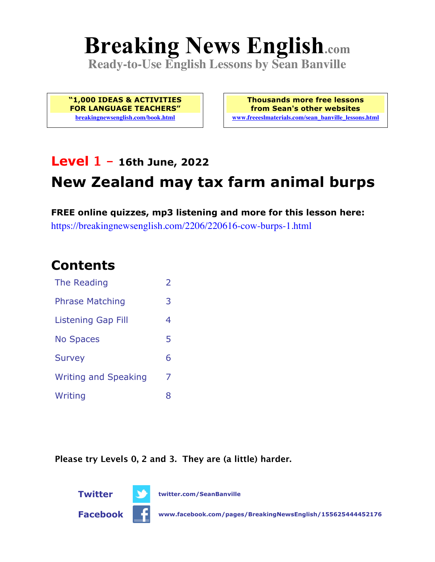# **Breaking News English.com**

**Ready-to-Use English Lessons by Sean Banville**

**"1,000 IDEAS & ACTIVITIES FOR LANGUAGE TEACHERS" breakingnewsenglish.com/book.html**

**Thousands more free lessons from Sean's other websites www.freeeslmaterials.com/sean\_banville\_lessons.html**

# **Level 1 - 16th June, 2022**

# **New Zealand may tax farm animal burps**

**FREE online quizzes, mp3 listening and more for this lesson here:** https://breakingnewsenglish.com/2206/220616-cow-burps-1.html

### **Contents**

| The Reading                 | $\overline{2}$ |
|-----------------------------|----------------|
| <b>Phrase Matching</b>      | 3              |
| <b>Listening Gap Fill</b>   | 4              |
| <b>No Spaces</b>            | 5              |
| <b>Survey</b>               | 6              |
| <b>Writing and Speaking</b> | 7              |
| Writing                     | 8              |

**Please try Levels 0, 2 and 3. They are (a little) harder.**



**Twitter twitter.com/SeanBanville**

**Facebook www.facebook.com/pages/BreakingNewsEnglish/155625444452176**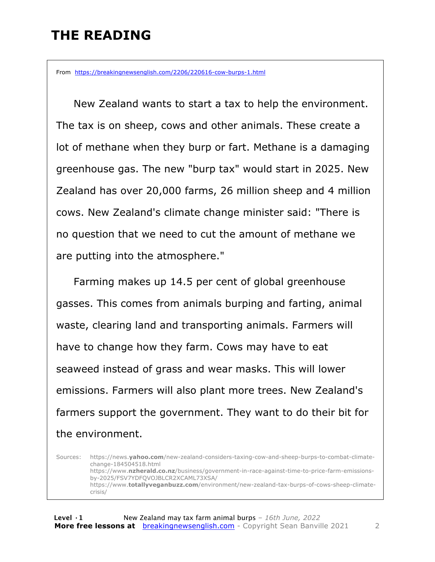### **THE READING**

From https://breakingnewsenglish.com/2206/220616-cow-burps-1.html

 New Zealand wants to start a tax to help the environment. The tax is on sheep, cows and other animals. These create a lot of methane when they burp or fart. Methane is a damaging greenhouse gas. The new "burp tax" would start in 2025. New Zealand has over 20,000 farms, 26 million sheep and 4 million cows. New Zealand's climate change minister said: "There is no question that we need to cut the amount of methane we are putting into the atmosphere."

 Farming makes up 14.5 per cent of global greenhouse gasses. This comes from animals burping and farting, animal waste, clearing land and transporting animals. Farmers will have to change how they farm. Cows may have to eat seaweed instead of grass and wear masks. This will lower emissions. Farmers will also plant more trees. New Zealand's farmers support the government. They want to do their bit for the environment.

Sources: https://news.**yahoo.com**/new-zealand-considers-taxing-cow-and-sheep-burps-to-combat-climatechange-184504518.html https://www.**nzherald.co.nz**/business/government-in-race-against-time-to-price-farm-emissionsby-2025/FSV7YDFQVOJBLCR2XCAML73XSA/ https://www.**totallyveganbuzz.com**/environment/new-zealand-tax-burps-of-cows-sheep-climatecrisis/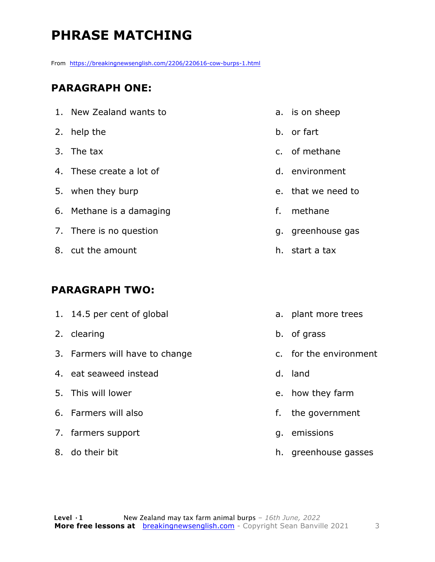# **PHRASE MATCHING**

From https://breakingnewsenglish.com/2206/220616-cow-burps-1.html

#### **PARAGRAPH ONE:**

| 1. New Zealand wants to  |
|--------------------------|
| 2. help the              |
| 3. The tax               |
| 4. These create a lot of |
| 5. when they burp        |
| 6. Methane is a damaging |
| 7. There is no question  |
| 8. cut the amount        |
|                          |

#### **PARAGRAPH TWO:**

| 1. 14.5 per cent of global     |    | a. plant more trees    |
|--------------------------------|----|------------------------|
| 2. clearing                    |    | b. of grass            |
| 3. Farmers will have to change |    | c. for the environment |
| 4. eat seaweed instead         |    | d. land                |
| 5. This will lower             |    | e. how they farm       |
| 6. Farmers will also           | f. | the government         |
| 7. farmers support             | q. | emissions              |
| 8. do their bit                |    | h. greenhouse gasses   |

- b. or fart
- c. of methane

a. is on sheep

- d. environment
- e. that we need to
- f. methane
- g. greenhouse gas
- h. start a tax

h. greenhouse gasses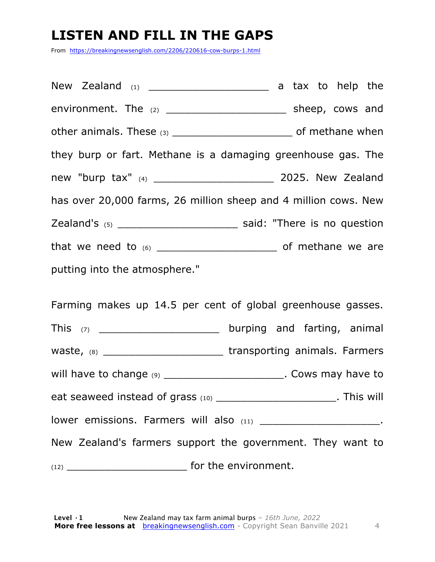# **LISTEN AND FILL IN THE GAPS**

From https://breakingnewsenglish.com/2206/220616-cow-burps-1.html

New Zealand  $(1)$   $(2)$   $(3)$   $(4)$   $(5)$   $(6)$   $(7)$   $(8)$   $(8)$   $(8)$   $(9)$   $(1)$   $(1)$   $(1)$   $(1)$   $(1)$   $(1)$   $(1)$   $(1)$   $(1)$   $(1)$   $(1)$   $(1)$   $(1)$   $(1)$   $(1)$   $(1)$   $(1)$   $(1)$   $(1)$   $(1)$   $(1)$   $(1)$   $(1)$   $(1)$ environment. The (2) \_\_\_\_\_\_\_\_\_\_\_\_\_\_\_\_\_\_\_ sheep, cows and other animals. These (3) \_\_\_\_\_\_\_\_\_\_\_\_\_\_\_\_\_\_\_\_\_\_\_\_\_\_\_\_ of methane when they burp or fart. Methane is a damaging greenhouse gas. The new "burp tax" (4) \_\_\_\_\_\_\_\_\_\_\_\_\_\_\_\_\_\_\_ 2025. New Zealand has over 20,000 farms, 26 million sheep and 4 million cows. New Zealand's (5) \_\_\_\_\_\_\_\_\_\_\_\_\_\_\_\_\_\_\_ said: "There is no question that we need to (6) \_\_\_\_\_\_\_\_\_\_\_\_\_\_\_\_\_\_\_ of methane we are putting into the atmosphere."

Farming makes up 14.5 per cent of global greenhouse gasses. This (7) This (7) This (7) This (7) This (7) waste, (8) \_\_\_\_\_\_\_\_\_\_\_\_\_\_\_\_\_\_\_\_\_\_\_\_\_\_\_\_transporting animals. Farmers will have to change (9) \_\_\_\_\_\_\_\_\_\_\_\_\_\_\_\_\_\_\_\_\_\_\_\_\_. Cows may have to eat seaweed instead of grass (10) \_\_\_\_\_\_\_\_\_\_\_\_\_\_\_\_\_\_\_\_\_\_\_\_\_. This will lower emissions. Farmers will also (11) \_\_\_\_\_\_\_\_\_\_\_\_\_\_\_\_\_\_\_\_\_\_\_\_\_. New Zealand's farmers support the government. They want to (12) \_\_\_\_\_\_\_\_\_\_\_\_\_\_\_\_\_\_\_ for the environment.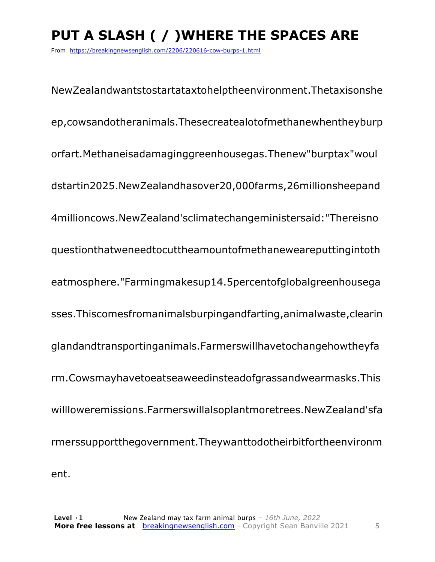# **PUT A SLASH ( / )WHERE THE SPACES ARE**

From https://breakingnewsenglish.com/2206/220616-cow-burps-1.html

NewZealandwantstostartataxtohelptheenvironment.Thetaxisonshe ep,cowsandotheranimals.Thesecreatealotofmethanewhentheyburp orfart.Methaneisadamaginggreenhousegas.Thenew"burptax"woul dstartin2025.NewZealandhasover20,000farms,26millionsheepand 4millioncows.NewZealand'sclimatechangeministersaid:"Thereisno questionthatweneedtocuttheamountofmethaneweareputtingintoth eatmosphere."Farmingmakesup14.5percentofglobalgreenhousega sses.Thiscomesfromanimalsburpingandfarting,animalwaste,clearin glandandtransportinganimals.Farmerswillhavetochangehowtheyfa rm.Cowsmayhavetoeatseaweedinsteadofgrassandwearmasks.This willloweremissions.Farmerswillalsoplantmoretrees.NewZealand'sfa rmerssupportthegovernment.Theywanttodotheirbitfortheenvironm ent.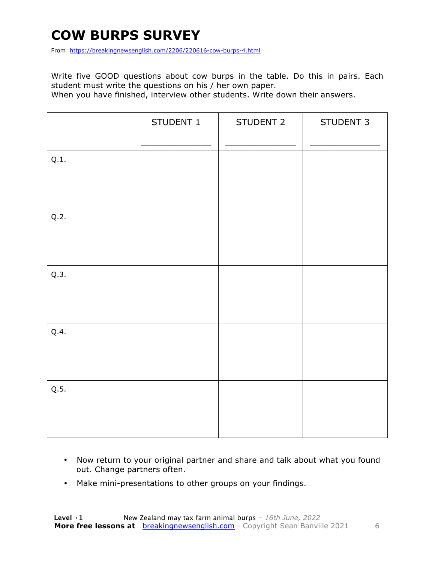# **COW BURPS SURVEY**

From https://breakingnewsenglish.com/2206/220616-cow-burps-4.html

Write five GOOD questions about cow burps in the table. Do this in pairs. Each student must write the questions on his / her own paper.

When you have finished, interview other students. Write down their answers.

|      | STUDENT 1 | STUDENT 2 | STUDENT 3 |
|------|-----------|-----------|-----------|
| Q.1. |           |           |           |
| Q.2. |           |           |           |
| Q.3. |           |           |           |
| Q.4. |           |           |           |
| Q.5. |           |           |           |

- Now return to your original partner and share and talk about what you found out. Change partners often.
- Make mini-presentations to other groups on your findings.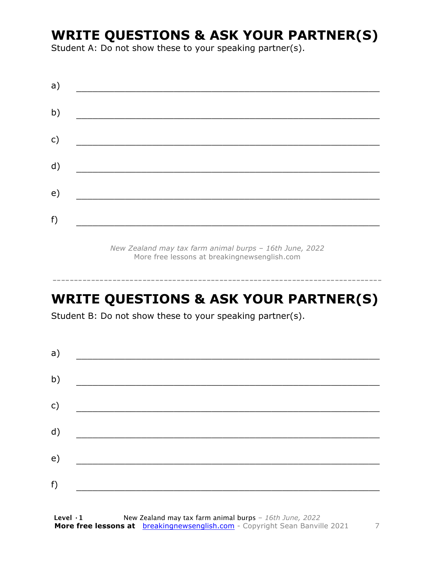### **WRITE QUESTIONS & ASK YOUR PARTNER(S)**

Student A: Do not show these to your speaking partner(s).

| a)            |  |  |
|---------------|--|--|
| b)            |  |  |
| $\mathsf{c})$ |  |  |
| d)            |  |  |
| e)            |  |  |
| f)            |  |  |

*New Zealand may tax farm animal burps – 16th June, 2022* More free lessons at breakingnewsenglish.com

# **WRITE QUESTIONS & ASK YOUR PARTNER(S)**

-----------------------------------------------------------------------------

Student B: Do not show these to your speaking partner(s).

| a) |  |  |
|----|--|--|
| b) |  |  |
| c) |  |  |
| d) |  |  |
| e) |  |  |
| f) |  |  |
|    |  |  |